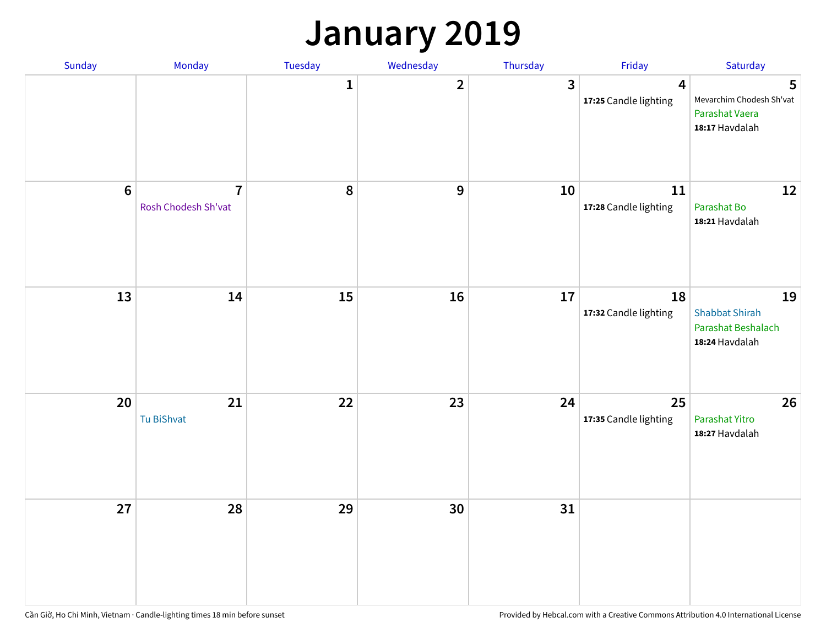## **January 2019**

| Sunday | Monday                                | Tuesday | Wednesday      | Thursday | Friday                                  | Saturday                                                            |
|--------|---------------------------------------|---------|----------------|----------|-----------------------------------------|---------------------------------------------------------------------|
|        |                                       | 1       | $\overline{2}$ | 3        | $\overline{4}$<br>17:25 Candle lighting | 5<br>Mevarchim Chodesh Sh'vat<br>Parashat Vaera<br>18:17 Havdalah   |
| $6\,$  | $\overline{7}$<br>Rosh Chodesh Sh'vat | 8       | 9              | 10       | $11\,$<br>17:28 Candle lighting         | 12<br>Parashat Bo<br>18:21 Havdalah                                 |
| 13     | 14                                    | 15      | 16             | 17       | 18<br>17:32 Candle lighting             | 19<br><b>Shabbat Shirah</b><br>Parashat Beshalach<br>18:24 Havdalah |
| 20     | 21<br>Tu BiShvat                      | 22      | 23             | 24       | 25<br>17:35 Candle lighting             | 26<br>Parashat Yitro<br>18:27 Havdalah                              |
| 27     | 28                                    | 29      | 30             | 31       |                                         |                                                                     |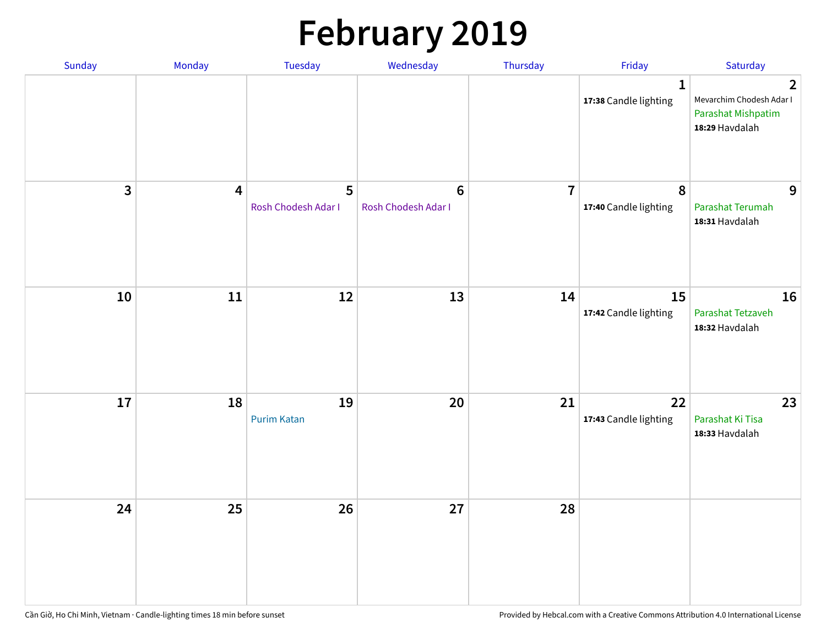# **February 2019**

| Sunday | Monday | Tuesday                  | Wednesday                      | Thursday       | Friday                                | Saturday                                                                                  |
|--------|--------|--------------------------|--------------------------------|----------------|---------------------------------------|-------------------------------------------------------------------------------------------|
|        |        |                          |                                |                | $\mathbf{1}$<br>17:38 Candle lighting | $\overline{2}$<br>Mevarchim Chodesh Adar I<br><b>Parashat Mishpatim</b><br>18:29 Havdalah |
| 3      | 4      | 5<br>Rosh Chodesh Adar I | $\bf 6$<br>Rosh Chodesh Adar I | $\overline{7}$ | $\pmb{8}$<br>17:40 Candle lighting    | 9<br>Parashat Terumah<br>18:31 Havdalah                                                   |
| 10     | 11     | 12                       | 13                             | 14             | 15<br>17:42 Candle lighting           | 16<br>Parashat Tetzaveh<br>18:32 Havdalah                                                 |
| 17     | 18     | 19<br><b>Purim Katan</b> | 20                             | 21             | 22<br>17:43 Candle lighting           | 23<br>Parashat Ki Tisa<br>18:33 Havdalah                                                  |
| 24     | 25     | 26                       | 27                             | 28             |                                       |                                                                                           |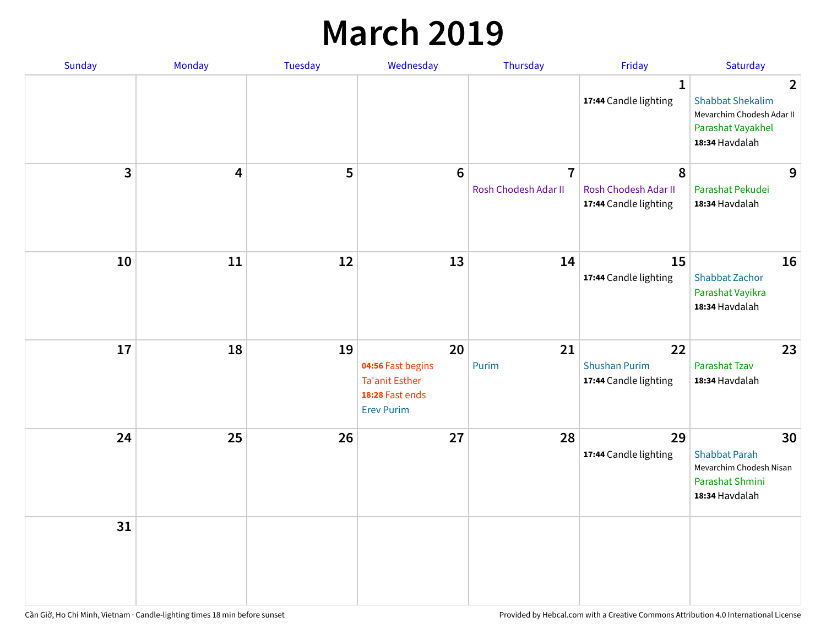## **March 2019**

| Sunday | Monday | Tuesday | Wednesday                                                                                | Thursday                               | Friday                                              | Saturday                                                                                                      |
|--------|--------|---------|------------------------------------------------------------------------------------------|----------------------------------------|-----------------------------------------------------|---------------------------------------------------------------------------------------------------------------|
|        |        |         |                                                                                          |                                        | $\mathbf{1}$<br>17:44 Candle lighting               | $\overline{2}$<br><b>Shabbat Shekalim</b><br>Mevarchim Chodesh Adar II<br>Parashat Vayakhel<br>18:34 Havdalah |
| 3      | 4      | 5       | $6\phantom{1}$                                                                           | $\overline{7}$<br>Rosh Chodesh Adar II | 8<br>Rosh Chodesh Adar II<br>17:44 Candle lighting  | 9<br>Parashat Pekudei<br>18:34 Havdalah                                                                       |
| 10     | 11     | 12      | 13                                                                                       | 14                                     | 15<br>17:44 Candle lighting                         | 16<br><b>Shabbat Zachor</b><br>Parashat Vayikra<br>18:34 Havdalah                                             |
| 17     | 18     | 19      | 20<br>04:56 Fast begins<br><b>Ta'anit Esther</b><br>18:28 Fast ends<br><b>Erev Purim</b> | 21<br>Purim                            | 22<br><b>Shushan Purim</b><br>17:44 Candle lighting | 23<br><b>Parashat Tzav</b><br>18:34 Havdalah                                                                  |
| 24     | 25     | 26      | 27                                                                                       | 28                                     | 29<br>17:44 Candle lighting                         | 30<br><b>Shabbat Parah</b><br>Mevarchim Chodesh Nisan<br>Parashat Shmini<br>18:34 Havdalah                    |
| 31     |        |         |                                                                                          |                                        |                                                     |                                                                                                               |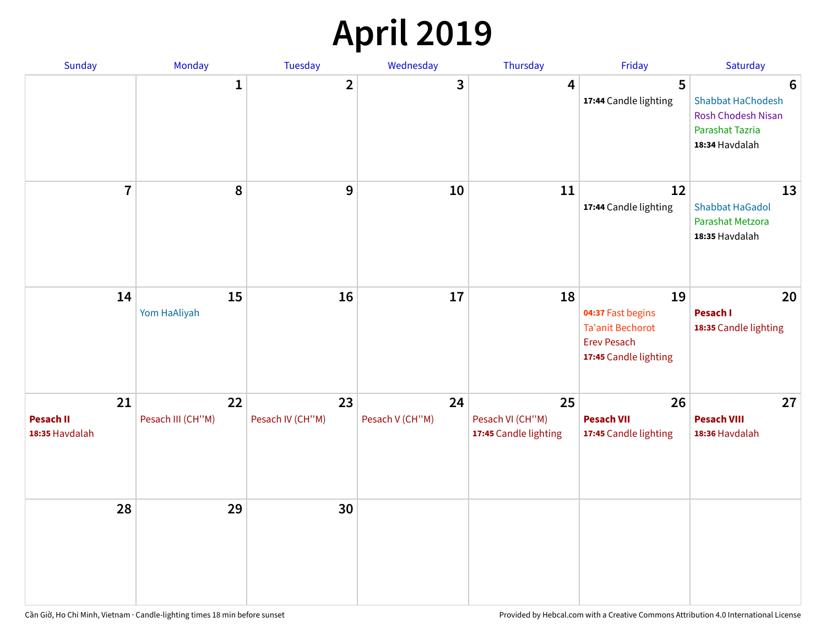# **April 2019**

| Sunday                                   | Monday                  | Tuesday                | Wednesday             | Thursday                                        | Friday                                                                                            | Saturday                                                                                 |
|------------------------------------------|-------------------------|------------------------|-----------------------|-------------------------------------------------|---------------------------------------------------------------------------------------------------|------------------------------------------------------------------------------------------|
|                                          | $\mathbf{1}$            | $\overline{2}$         | 3                     | $\overline{4}$                                  | 5<br>17:44 Candle lighting                                                                        | 6<br>Shabbat HaChodesh<br><b>Rosh Chodesh Nisan</b><br>Parashat Tazria<br>18:34 Havdalah |
| $\overline{7}$                           | 8                       | $\boldsymbol{9}$       | 10                    | 11                                              | 12<br>17:44 Candle lighting                                                                       | 13<br><b>Shabbat HaGadol</b><br>Parashat Metzora<br>18:35 Havdalah                       |
| 14                                       | 15<br>Yom HaAliyah      | 16                     | 17                    | 18                                              | 19<br>04:37 Fast begins<br><b>Ta'anit Bechorot</b><br><b>Erev Pesach</b><br>17:45 Candle lighting | 20<br>Pesach I<br>18:35 Candle lighting                                                  |
| 21<br><b>Pesach II</b><br>18:35 Havdalah | 22<br>Pesach III (CH"M) | 23<br>Pesach IV (CH"M) | 24<br>Pesach V (CH"M) | 25<br>Pesach VI (CH"M)<br>17:45 Candle lighting | 26<br><b>Pesach VII</b><br>17:45 Candle lighting                                                  | 27<br><b>Pesach VIII</b><br>18:36 Havdalah                                               |
| 28                                       | 29                      | 30                     |                       |                                                 |                                                                                                   |                                                                                          |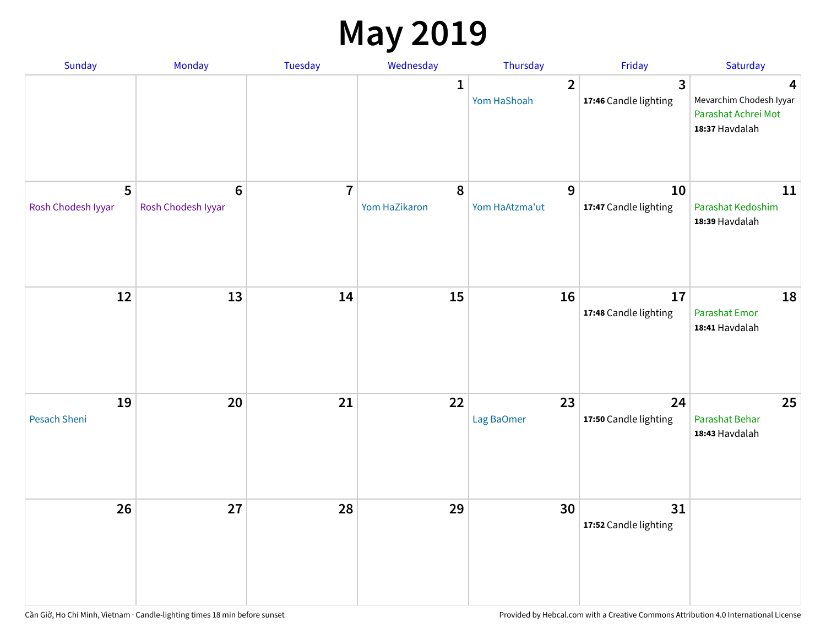## **May 2019**

| Sunday                  | Monday                                | Tuesday        | Wednesday                  | Thursday                      | Friday                                  | Saturday                                                              |
|-------------------------|---------------------------------------|----------------|----------------------------|-------------------------------|-----------------------------------------|-----------------------------------------------------------------------|
|                         |                                       |                | 1                          | $\overline{2}$<br>Yom HaShoah | $\overline{3}$<br>17:46 Candle lighting | 4<br>Mevarchim Chodesh Iyyar<br>Parashat Achrei Mot<br>18:37 Havdalah |
| 5<br>Rosh Chodesh Iyyar | $6\phantom{1}6$<br>Rosh Chodesh Iyyar | $\overline{7}$ | $\pmb{8}$<br>Yom HaZikaron | 9<br>Yom HaAtzma'ut           | 10<br>17:47 Candle lighting             | 11<br>Parashat Kedoshim<br>18:39 Havdalah                             |
| 12                      | 13                                    | 14             | 15                         | 16                            | 17<br>17:48 Candle lighting             | 18<br>Parashat Emor<br>18:41 Havdalah                                 |
| 19<br>Pesach Sheni      | 20                                    | 21             | 22                         | 23<br>Lag BaOmer              | 24<br>17:50 Candle lighting             | 25<br>Parashat Behar<br>18:43 Havdalah                                |
| 26                      | 27                                    | 28             | 29                         | 30                            | 31<br>17:52 Candle lighting             |                                                                       |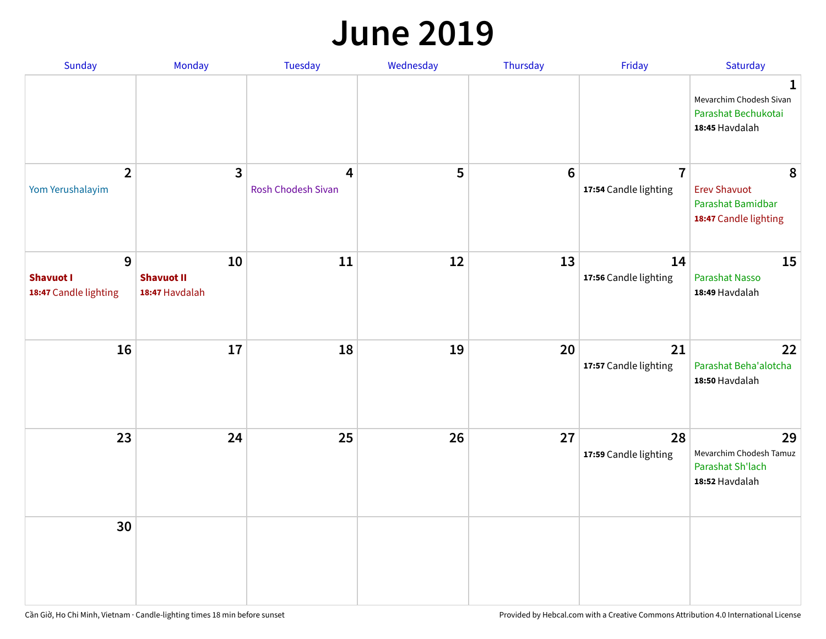#### **June 2019**

| Sunday                                         | Monday                                    | Tuesday                        | Wednesday | Thursday        | Friday                                  | Saturday                                                               |
|------------------------------------------------|-------------------------------------------|--------------------------------|-----------|-----------------|-----------------------------------------|------------------------------------------------------------------------|
|                                                |                                           |                                |           |                 |                                         | 1<br>Mevarchim Chodesh Sivan<br>Parashat Bechukotai<br>18:45 Havdalah  |
| $\overline{2}$<br>Yom Yerushalayim             | $\mathbf{3}$                              | 4<br><b>Rosh Chodesh Sivan</b> | 5         | $6\phantom{1}6$ | $\overline{7}$<br>17:54 Candle lighting | 8<br><b>Erev Shavuot</b><br>Parashat Bamidbar<br>18:47 Candle lighting |
| 9<br><b>Shavuot I</b><br>18:47 Candle lighting | 10<br><b>Shavuot II</b><br>18:47 Havdalah | 11                             | 12        | 13              | 14<br>17:56 Candle lighting             | 15<br><b>Parashat Nasso</b><br>18:49 Havdalah                          |
| 16                                             | 17                                        | 18                             | 19        | 20              | 21<br>17:57 Candle lighting             | 22<br>Parashat Beha'alotcha<br>18:50 Havdalah                          |
| 23                                             | 24                                        | 25                             | 26        | 27              | 28<br>17:59 Candle lighting             | 29<br>Mevarchim Chodesh Tamuz<br>Parashat Sh'lach<br>18:52 Havdalah    |
| 30                                             |                                           |                                |           |                 |                                         |                                                                        |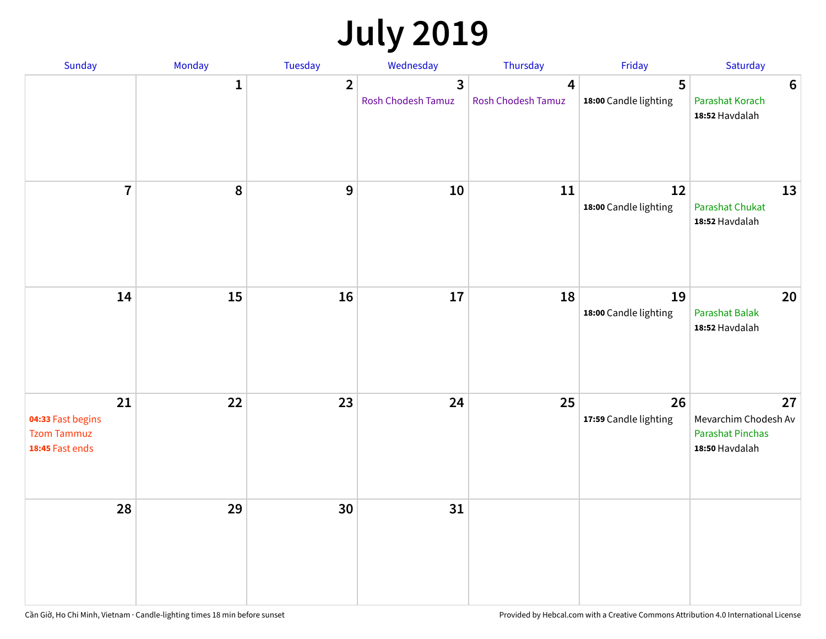# **July 2019**

| Sunday                                                           | Monday       | Tuesday        | Wednesday                            | Thursday                             | Friday                      | Saturday                                                                |
|------------------------------------------------------------------|--------------|----------------|--------------------------------------|--------------------------------------|-----------------------------|-------------------------------------------------------------------------|
|                                                                  | $\mathbf{1}$ | $\overline{2}$ | $\overline{3}$<br>Rosh Chodesh Tamuz | $\overline{4}$<br>Rosh Chodesh Tamuz | 5<br>18:00 Candle lighting  | $6\phantom{1}6$<br>Parashat Korach<br>18:52 Havdalah                    |
| $\overline{7}$                                                   | 8            | 9              | 10                                   | 11                                   | 12<br>18:00 Candle lighting | 13<br><b>Parashat Chukat</b><br>18:52 Havdalah                          |
| 14                                                               | 15           | 16             | 17                                   | 18                                   | 19<br>18:00 Candle lighting | 20<br><b>Parashat Balak</b><br>18:52 Havdalah                           |
| 21<br>04:33 Fast begins<br><b>Tzom Tammuz</b><br>18:45 Fast ends | 22           | 23             | 24                                   | 25                                   | 26<br>17:59 Candle lighting | 27<br>Mevarchim Chodesh Av<br><b>Parashat Pinchas</b><br>18:50 Havdalah |
| 28                                                               | 29           | 30             | 31                                   |                                      |                             |                                                                         |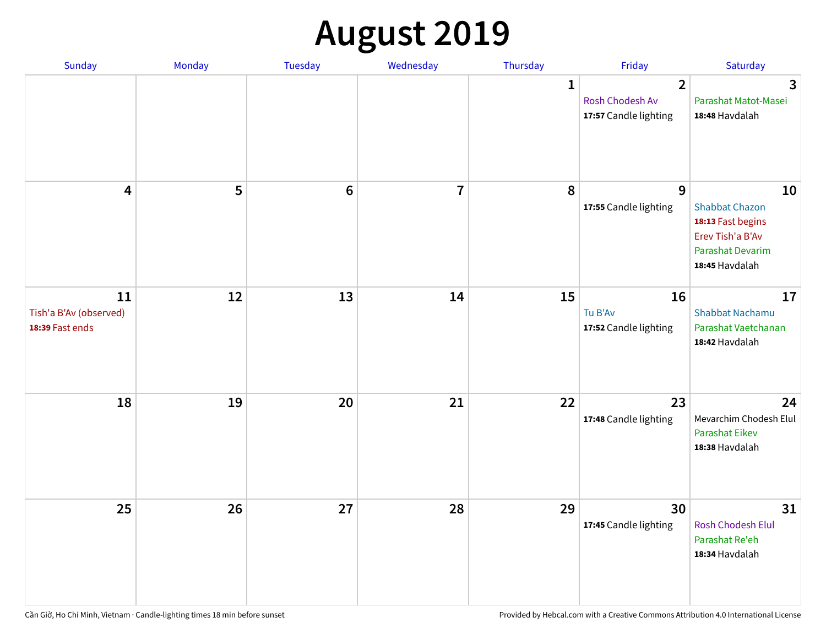# **August 2019**

| Sunday                                          | Monday | Tuesday         | Wednesday               | Thursday     | Friday                                                     | Saturday                                                                                                   |
|-------------------------------------------------|--------|-----------------|-------------------------|--------------|------------------------------------------------------------|------------------------------------------------------------------------------------------------------------|
|                                                 |        |                 |                         | $\mathbf{1}$ | $\overline{2}$<br>Rosh Chodesh Av<br>17:57 Candle lighting | $\overline{\mathbf{3}}$<br>Parashat Matot-Masei<br>18:48 Havdalah                                          |
| $\overline{\mathbf{4}}$                         | 5      | $6\phantom{1}6$ | $\overline{\mathbf{I}}$ | 8            | 9<br>17:55 Candle lighting                                 | 10<br><b>Shabbat Chazon</b><br>18:13 Fast begins<br>Erev Tish'a B'Av<br>Parashat Devarim<br>18:45 Havdalah |
| 11<br>Tish'a B'Av (observed)<br>18:39 Fast ends | 12     | 13              | 14                      | 15           | 16<br>Tu B'Av<br>17:52 Candle lighting                     | 17<br><b>Shabbat Nachamu</b><br>Parashat Vaetchanan<br>18:42 Havdalah                                      |
| 18                                              | 19     | 20              | 21                      | 22           | 23<br>17:48 Candle lighting                                | 24<br>Mevarchim Chodesh Elul<br><b>Parashat Eikev</b><br>18:38 Havdalah                                    |
| 25                                              | 26     | 27              | 28                      | 29           | 30<br>17:45 Candle lighting                                | 31<br><b>Rosh Chodesh Elul</b><br>Parashat Re'eh<br>18:34 Havdalah                                         |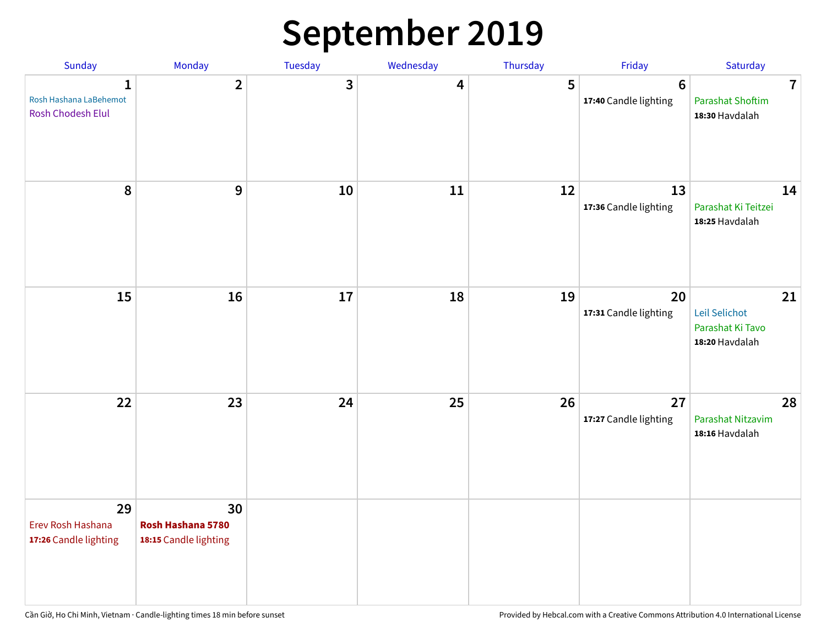# **September 2019**

| Sunday                                                  | Monday                                           | Tuesday | Wednesday | Thursday | Friday                                   | Saturday                                                    |
|---------------------------------------------------------|--------------------------------------------------|---------|-----------|----------|------------------------------------------|-------------------------------------------------------------|
| 1<br>Rosh Hashana LaBehemot<br><b>Rosh Chodesh Elul</b> | $\overline{2}$                                   | 3       | 4         | 5        | $6\phantom{1}6$<br>17:40 Candle lighting | $\overline{7}$<br><b>Parashat Shoftim</b><br>18:30 Havdalah |
| 8                                                       | 9                                                | 10      | 11        | 12       | 13<br>17:36 Candle lighting              | 14<br>Parashat Ki Teitzei<br>18:25 Havdalah                 |
| 15                                                      | 16                                               | 17      | 18        | 19       | 20<br>17:31 Candle lighting              | 21<br>Leil Selichot<br>Parashat Ki Tavo<br>18:20 Havdalah   |
| 22                                                      | 23                                               | 24      | 25        | 26       | 27<br>17:27 Candle lighting              | 28<br>Parashat Nitzavim<br>18:16 Havdalah                   |
| 29<br>Erev Rosh Hashana<br>17:26 Candle lighting        | 30<br>Rosh Hashana 5780<br>18:15 Candle lighting |         |           |          |                                          |                                                             |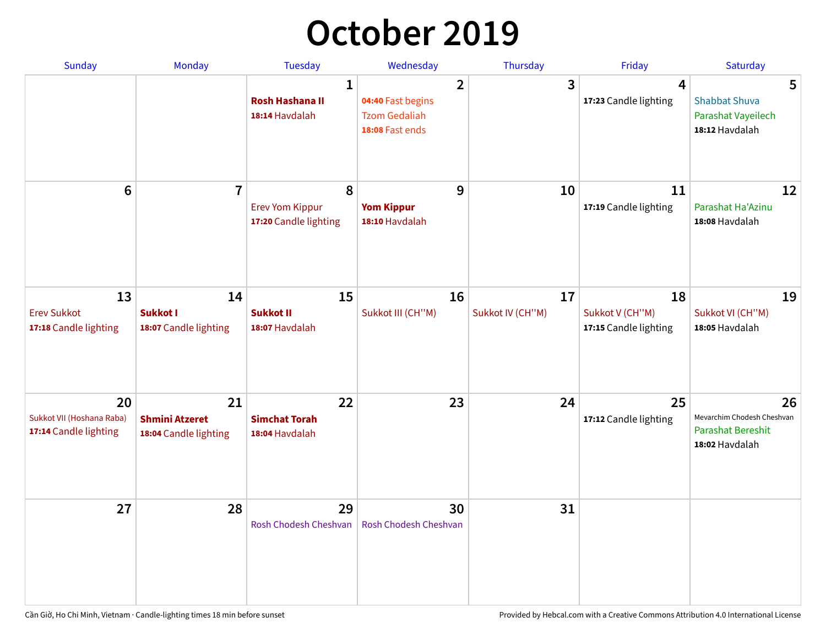# **October 2019**

| <b>Sunday</b>                                            | <b>Monday</b>                                        | <b>Tuesday</b>                                           | Wednesday                                                                      | Thursday               | Friday                                         | Saturday                                                                       |
|----------------------------------------------------------|------------------------------------------------------|----------------------------------------------------------|--------------------------------------------------------------------------------|------------------------|------------------------------------------------|--------------------------------------------------------------------------------|
|                                                          |                                                      | $\mathbf{1}$<br><b>Rosh Hashana II</b><br>18:14 Havdalah | $\overline{2}$<br>04:40 Fast begins<br><b>Tzom Gedaliah</b><br>18:08 Fast ends | 3                      | $\overline{4}$<br>17:23 Candle lighting        | 5<br><b>Shabbat Shuva</b><br>Parashat Vayeilech<br>18:12 Havdalah              |
| $6\phantom{1}$                                           | $\overline{7}$                                       | 8<br><b>Erev Yom Kippur</b><br>17:20 Candle lighting     | 9<br><b>Yom Kippur</b><br>18:10 Havdalah                                       | 10                     | 11<br>17:19 Candle lighting                    | 12<br>Parashat Ha'Azinu<br>18:08 Havdalah                                      |
| 13<br><b>Erev Sukkot</b><br>17:18 Candle lighting        | 14<br>Sukkot I<br>18:07 Candle lighting              | 15<br><b>Sukkot II</b><br>18:07 Havdalah                 | 16<br>Sukkot III (CH"M)                                                        | 17<br>Sukkot IV (CH"M) | 18<br>Sukkot V (CH"M)<br>17:15 Candle lighting | 19<br>Sukkot VI (CH"M)<br>18:05 Havdalah                                       |
| 20<br>Sukkot VII (Hoshana Raba)<br>17:14 Candle lighting | 21<br><b>Shmini Atzeret</b><br>18:04 Candle lighting | 22<br><b>Simchat Torah</b><br>18:04 Havdalah             | 23                                                                             | 24                     | 25<br>17:12 Candle lighting                    | 26<br>Mevarchim Chodesh Cheshvan<br><b>Parashat Bereshit</b><br>18:02 Havdalah |
| 27                                                       | 28                                                   | 29<br>Rosh Chodesh Cheshvan                              | 30<br>Rosh Chodesh Cheshvan                                                    | 31                     |                                                |                                                                                |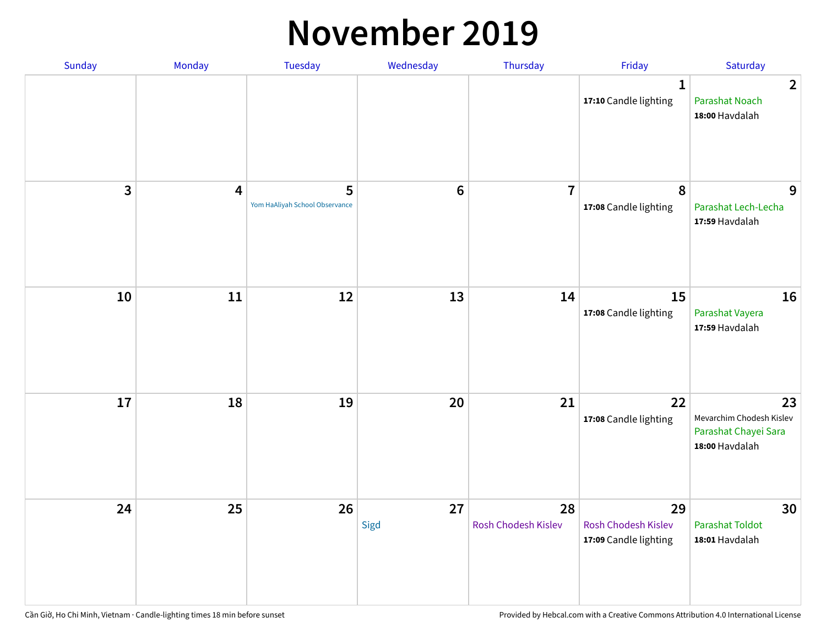#### **November 2019**

| Sunday     | Monday                  | Tuesday                             | Wednesday      | Thursday                  | Friday                                                    | Saturday                                                                 |
|------------|-------------------------|-------------------------------------|----------------|---------------------------|-----------------------------------------------------------|--------------------------------------------------------------------------|
|            |                         |                                     |                |                           | 1<br>17:10 Candle lighting                                | $\overline{2}$<br><b>Parashat Noach</b><br>18:00 Havdalah                |
| 3          | $\overline{\mathbf{4}}$ | 5<br>Yom HaAliyah School Observance | $6\phantom{1}$ | $\overline{7}$            | 8<br>17:08 Candle lighting                                | 9<br>Parashat Lech-Lecha<br>17:59 Havdalah                               |
| ${\bf 10}$ | 11                      | 12                                  | 13             | 14                        | 15<br>17:08 Candle lighting                               | 16<br>Parashat Vayera<br>17:59 Havdalah                                  |
| 17         | 18                      | 19                                  | 20             | 21                        | 22<br>17:08 Candle lighting                               | 23<br>Mevarchim Chodesh Kislev<br>Parashat Chayei Sara<br>18:00 Havdalah |
| 24         | 25                      | 26                                  | 27<br>Sigd     | 28<br>Rosh Chodesh Kislev | 29<br><b>Rosh Chodesh Kislev</b><br>17:09 Candle lighting | 30<br><b>Parashat Toldot</b><br>18:01 Havdalah                           |